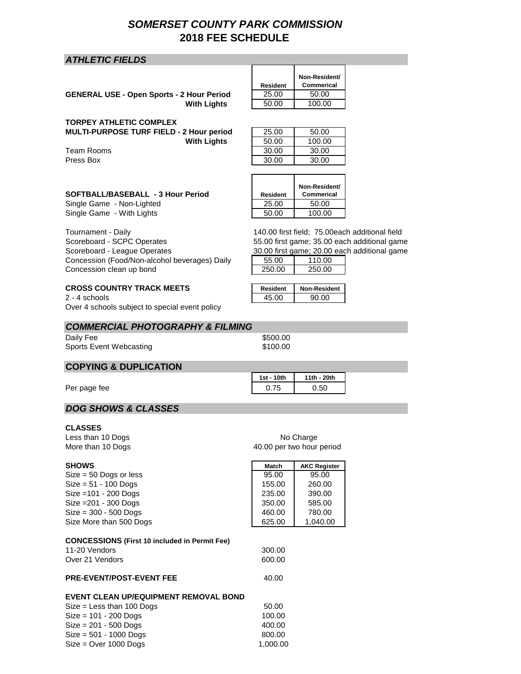# *SOMERSET COUNTY PARK COMMISSION* **2018 FEE SCHEDULE**

# *ATHLETIC FIELDS*

GENERAL USE - Open Sports - 2 Hour Period 25.00 50.00 **With Lights** 50.00 100.00

#### **TORPEY ATHLETIC COMPLEX**

**MULTI-PURPOSE TURF FIELD - 2 Hour period With Lights** 

Team Rooms Press Box 30.00 30.00

| 25.00 | 50.00  |
|-------|--------|
| 50.00 | 100.00 |
| 30.00 | 30.00  |

**Non-Resident/ Commerical**

**Non-Resident/ Commerical**

**Resident**

#### **SOFTBALL/BASEBALL - 3 Hour Period Resident**

Single Game - Non-Lighted 25.00 50.00 Single Game - With Lights 50.00 100.00

Tournament - Daily Scoreboard - SCPC Operates Scoreboard - League Operates Concession (Food/Non-alcohol beverages) Daily Concession clean up bond

# **CROSS COUNTRY TRACK MEETS**

 $2 - 4$  schools Over 4 schools subject to special event policy

### *COMMERCIAL PHOTOGRAPHY & FILMING*

Daily Fee \$500.00 Sports Event Webcasting

# **COPYING & DUPLICATION**

Per page fee

# *DOG SHOWS & CLASSES*

#### **CLASSES**

Less than 10 Dogs

| More than 10 Dogs                                    | 40.00 per two hour period |                     |
|------------------------------------------------------|---------------------------|---------------------|
| <b>SHOWS</b>                                         | <b>Match</b>              | <b>AKC Register</b> |
| $Size = 50$ Dogs or less                             | 95.00                     | 95.00               |
| $Size = 51 - 100$ Dogs                               | 155.00                    | 260.00              |
| Size = 101 - 200 Dogs                                | 235.00                    | 390.00              |
| Size = 201 - 300 Dogs                                | 350.00                    | 585.00              |
| $Size = 300 - 500$ Dogs                              | 460.00                    | 780.00              |
| Size More than 500 Dogs                              | 625.00                    | 1,040.00            |
| <b>CONCESSIONS (First 10 included in Permit Fee)</b> |                           |                     |
| 11-20 Vendors                                        | 300.00                    |                     |

# Over 21 Vendors 600.00

# **PRE-EVENT/POST-EVENT FEE** 40.00

#### **EVENT CLEAN UP/EQUIPMENT REMOVAL BOND**

| $Size = Less than 100$ Dogs | 50.00    |
|-----------------------------|----------|
| $Size = 101 - 200$ Dogs     | 100.00   |
| $Size = 201 - 500$ Dogs     | 400.00   |
| $Size = 501 - 1000$ Dogs    | 800.00   |
| $Size = Over 1000$ Dogs     | 1.000.00 |

140.00 first field; 75.00each additional field 55.00 first game; 35.00 each additional game 30.00 first game; 20.00 each additional game

| 55.00  | 110 OO |
|--------|--------|
| 250.00 | 250.00 |
|        |        |

| <b>Resident</b> | on-Resident |
|-----------------|-------------|
| 15 NN           | an nn       |

| \$100.00 |  |
|----------|--|
|          |  |
|          |  |

| 1st - 10th | 11th - 20th |
|------------|-------------|
| 0.75       | 0.50        |

No Charge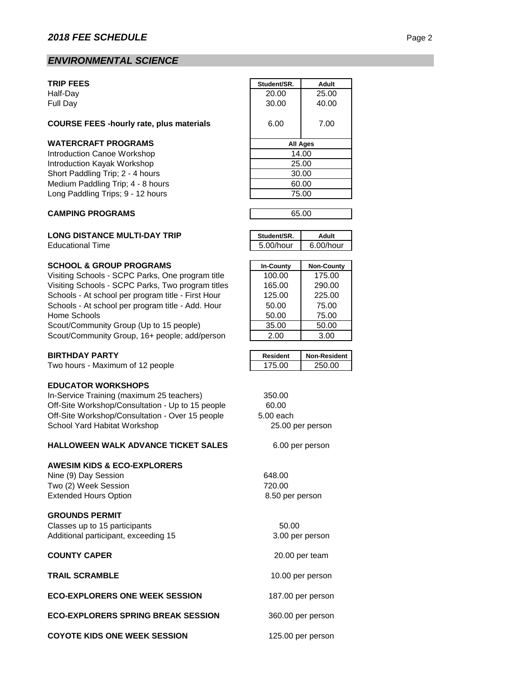# *ENVIRONMENTAL SCIENCE*

#### **COURSE FEES -hourly rate, plus materials** 6.00 7.00

#### **WATERCRAFT PROGRAMS**

#### **CAMPING PROGRAMS**

#### **LONG DISTANCE MULTI-DAY TRIP**

**Educational Time** 

#### **SCHOOL & GROUP PROGRAMS**

Visiting Schools - SCPC Parks, One program title Visiting Schools - SCPC Parks, Two program titles Schools - At school per program title - First Hour Schools - At school per program title - Add. Hour Home Schools Scout/Community Group (Up to 15 people) Scout/Community Group, 16+ people; add/person

#### **BIRTHDAY PARTY**

Two hours - Maximum of 12 people

#### **EDUCATOR WORKSHOPS**

In-Service Training (maximum 25 teachers) 350.00 Off-Site Workshop/Consultation - Up to 15 people 60.00 Off-Site Workshop/Consultation - Over 15 people 5.00 each School Yard Habitat Workshop

#### **HALLOWEEN WALK ADVANCE TICKET SALES**

#### **AWESIM KIDS & ECO-EXPLORERS**

Nine (9) Day Session 648.00 Two (2) Week Session 720.00 Extended Hours Option

#### **GROUNDS PERMIT**

Classes up to 15 participants 60.00 Additional participant, exceeding 15

#### **COUNTY CAPER**

**TRAIL SCRAMBLE**

#### **ECO-EXPLORERS ONE WEEK SESSION**

**ECO-EXPLORERS SPRING BREAK SESSION**

**COYOTE KIDS ONE WEEK SESSION**

| <b>TRIP FEES</b>                                | Student/SR. | <b>Adult</b> |
|-------------------------------------------------|-------------|--------------|
| Half-Day                                        | 20.00       | 25.00        |
| Full Day                                        | 30.00       | 40.00        |
| <b>COURSE FEES -hourly rate, plus materials</b> | 6.00        | 7.00         |
| <b>WATERCRAFT PROGRAMS</b>                      |             | All Ages     |
| Introduction Canoe Workshop                     |             | 14.00        |
| Introduction Kayak Workshop                     |             | 25.00        |
| Short Paddling Trip; 2 - 4 hours                | 30.00       |              |
| Medium Paddling Trip; 4 - 8 hours               | 60.00       |              |
| Long Paddling Trips; 9 - 12 hours               |             | 75.00        |
|                                                 |             |              |

| 65.00 |  |
|-------|--|
|       |  |

| Student/SR.  | Adult        |
|--------------|--------------|
| $5.00/h$ our | $6.00/h$ our |

| <b>In-County</b> | <b>Non-County</b> |
|------------------|-------------------|
| 100.00           | 175.00            |
| 165.00           | 290.00            |
| 125.00           | 225.00            |
| 50.00            | 75.00             |
| 50.00            | 75.00             |
| 35.00            | 50.00             |
| 2.00             | 3.00              |

| <b>Resident</b> | <b>Non-Resident</b> |
|-----------------|---------------------|
| 175 OO          | 250.00              |

# 25.00 per person

6.00 per person

8.50 per person

3.00 per person

20.00 per team

10.00 per person

187.00 per person

360.00 per person

125.00 per person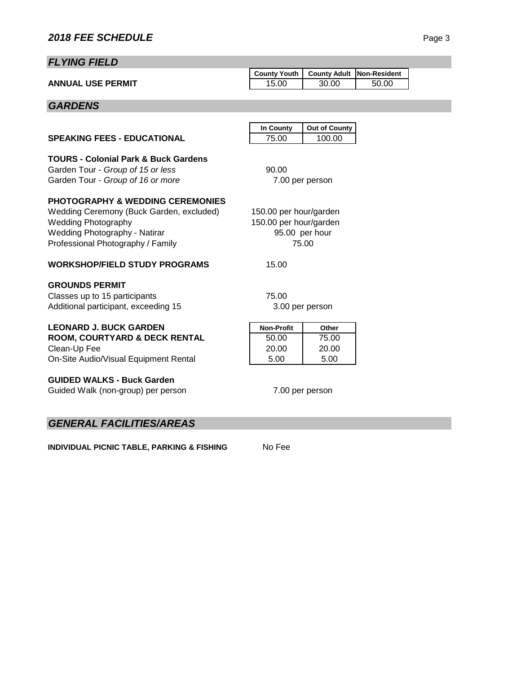# *FLYING FIELD*

|                          | County Youth   County Adult   Non-Resident |       |       |  |
|--------------------------|--------------------------------------------|-------|-------|--|
| <b>ANNUAL USE PERMIT</b> |                                            | 30.00 | 50.00 |  |

# *GARDENS*

|                                                                                                                                                                                                    | In County                                        | <b>Out of County</b>    |
|----------------------------------------------------------------------------------------------------------------------------------------------------------------------------------------------------|--------------------------------------------------|-------------------------|
| <b>SPEAKING FEES - EDUCATIONAL</b>                                                                                                                                                                 | 75.00                                            | 100.00                  |
| <b>TOURS - Colonial Park &amp; Buck Gardens</b><br>Garden Tour - Group of 15 or less<br>Garden Tour - Group of 16 or more                                                                          | 90.00                                            | 7.00 per person         |
| <b>PHOTOGRAPHY &amp; WEDDING CEREMONIES</b><br>Wedding Ceremony (Buck Garden, excluded)<br><b>Wedding Photography</b><br><b>Wedding Photography - Natirar</b><br>Professional Photography / Family | 150.00 per hour/garden<br>150.00 per hour/garden | 95.00 per hour<br>75.00 |
| WORKSHOP/FIELD STUDY PROGRAMS                                                                                                                                                                      | 15.00                                            |                         |
| <b>GROUNDS PERMIT</b><br>Classes up to 15 participants<br>Additional participant, exceeding 15                                                                                                     | 75.00                                            | 3.00 per person         |
| <b>LEONARD J. BUCK GARDEN</b>                                                                                                                                                                      | <b>Non-Profit</b>                                | Other                   |
| <b>ROOM, COURTYARD &amp; DECK RENTAL</b><br>Clean-Up Fee<br>On-Site Audio/Visual Equipment Rental                                                                                                  | 50.00<br>20.00<br>5.00                           | 75.00<br>20.00<br>5.00  |
| <b>GUIDED WALKS - Buck Garden</b><br>Guided Walk (non-group) per person                                                                                                                            |                                                  | 7.00 per person         |

# *GENERAL FACILITIES/AREAS*

**INDIVIDUAL PICNIC TABLE, PARKING & FISHING** No Fee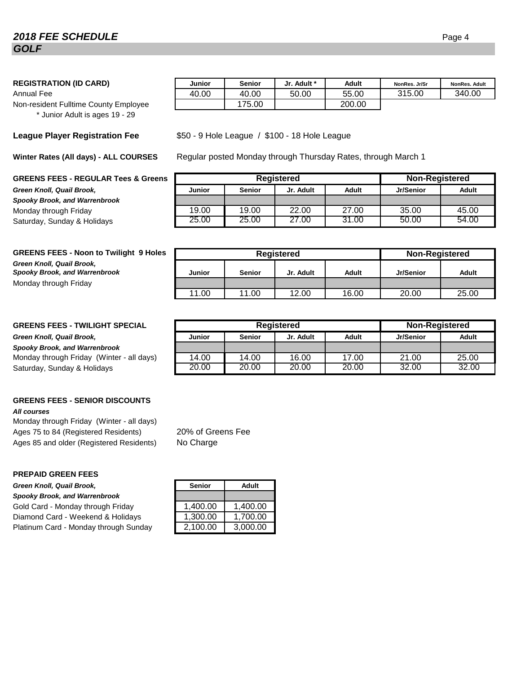# **2018 FEE SCHEDULE** Page 4 *GOLF*

#### **REGISTRATION (ID CARD) Junior Senior Jr. Adult \* Adult NonRes. Jr/Sr NonRes. Adult**

Non-resident Fulltime County Employee \* Junior Adult is ages 19 - 29

#### **League Player Registration Fee**

**Winter Rates (All days) - ALL COURSES**

#### **GREENS FEES - REGULAR Tees & Greens**

 $G$ reen Knoll, Quail Brook, *Spooky Brook, and Warrenbrook* Monday through Friday Saturday, Sunday & Holidays.

| <b>GREENS FEES - Noon to Twilight 9 Holes</b> |  |
|-----------------------------------------------|--|
| Green Knoll, Quail Brook,                     |  |
| <b>Spooky Brook, and Warrenbrook</b>          |  |
| Monday through Friday                         |  |

#### **GREENS FEES - TWILIGHT SPECIAL**

#### $G$ reen Knoll, Quail Brook.

*Spooky Brook, and Warrenbrook* Monday through Friday (Winter - all days) Saturday, Sunday & Holidays.

# **GREENS FEES - SENIOR DISCOUNTS**

#### *All courses*

Monday through Friday (Winter - all days) Ages 75 to 84 (Registered Residents) Ages 85 and older (Registered Residents)

#### **PREPAID GREEN FEES**

**Green Knoll, Quail Brook,** 

*Spooky Brook, and Warrenbrook* Gold Card - Monday through Friday Diamond Card - Weekend & Holidays Platinum Card - Monday through Sunday

| <b>REGISTRATION (ID CARD)</b>         | Junior | Senior | Jr. Adult * | Adult  | NonRes. Jr/Sr | <b>NonRes, Adult</b> |
|---------------------------------------|--------|--------|-------------|--------|---------------|----------------------|
| Annual Fee                            | 40.00  | 40.00  | 50.00       | 55.00  | 315.00        | 340.00               |
| Non-resident Fulltime County Emplovee |        | 75.00  |             | 200.00 |               |                      |

#### \$50 - 9 Hole League / \$100 - 18 Hole League

Regular posted Monday through Thursday Rates, through March 1

|               |               | Registered |       | <b>Non-Registered</b> |       |
|---------------|---------------|------------|-------|-----------------------|-------|
| <b>Junior</b> | <b>Senior</b> | Jr. Adult  | Adult | Jr/Senior             | Adult |
|               |               |            |       |                       |       |
| 19.00         | 19.00         | 22.00      | 27.00 | 35.00                 | 45.00 |
| 25.00         | 25.00         | 27.00      | 31.00 | 50.00                 | 54.00 |

| <b>GREENS FEES - Noon to Twilight 9 Holes</b>                     | Registered |               |           | <b>Non-Registered</b> |           |       |
|-------------------------------------------------------------------|------------|---------------|-----------|-----------------------|-----------|-------|
| Green Knoll, Quail Brook,<br><b>Spooky Brook, and Warrenbrook</b> | Junior     | <b>Senior</b> | Jr. Adult | Adult                 | Jr/Senior | Adult |
| Monday through Friday                                             |            |               |           |                       |           |       |
|                                                                   | 11.00      | 11.00         | 12.00     | 16.00                 | 20.00     | 25.00 |

|               |               | <b>Registered</b> |       | <b>Non-Registered</b> |       |
|---------------|---------------|-------------------|-------|-----------------------|-------|
| <b>Junior</b> | <b>Senior</b> | Jr. Adult         | Adult | <b>Jr/Senior</b>      | Adult |
|               |               |                   |       |                       |       |
| 14.00         | 14.00         | 16.00             | 17.00 | 21.00                 | 25.00 |
| 20.00         | 20.00         | 20.00             | 20.00 | 32.00                 | 32.00 |

20% of Greens Fee No Charge

| <b>Senior</b> | Adult    |
|---------------|----------|
|               |          |
| 1,400.00      | 1,400.00 |
| 1,300.00      | 1,700.00 |
| 2,100.00      | 3,000.00 |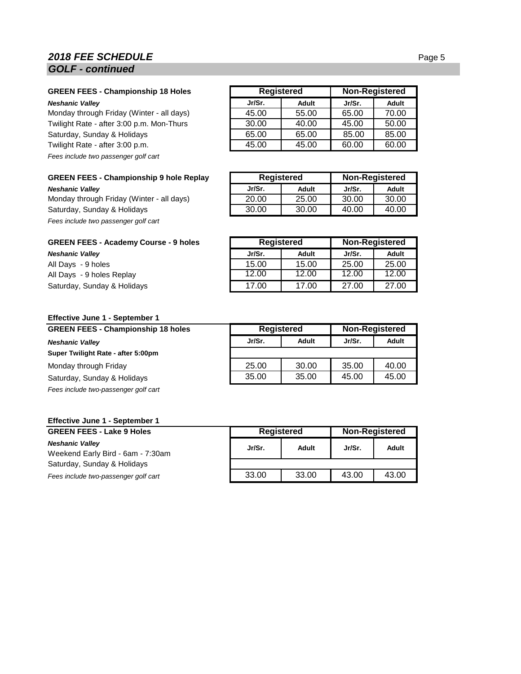# **2018 FEE SCHEDULE** Page 5 *GOLF - continued*

#### **GREEN FEES - Championship 18 Holes Neshanic Valley**

Monday through Friday (Winter - all days) Twilight Rate - after 3:00 p.m. Mon-Thurs Saturday, Sunday & Holidays Twilight Rate - after 3:00 p.m. *Fees include two passenger golf cart*

#### **GREEN FEES - Championship 9 hole Replay**

 $Neshanic$  *Valley* Monday through Friday (Winter - all days). Saturday, Sunday & Holidays *Fees include two passenger golf cart*

| <b>GREEN FEES - Academy Course - 9 holes</b> |  |  |  |  |  |
|----------------------------------------------|--|--|--|--|--|
| <b>Neshanic Valley</b>                       |  |  |  |  |  |
| All Days - 9 holes                           |  |  |  |  |  |
| All Davs - 9 holes Replay                    |  |  |  |  |  |

| 7 w Dayo | <b>U</b> HOIGU HOPIUY       |  |
|----------|-----------------------------|--|
|          | Saturday, Sunday & Holidays |  |

|        | <b>Registered</b> |        | <b>Non-Registered</b> |
|--------|-------------------|--------|-----------------------|
| Jr/Sr. | Adult             | Jr/Sr. | Adult                 |
| 45.00  | 55.00             | 65.00  | 70.00                 |
| 30.00  | 40.00             | 45.00  | 50.00                 |
| 65.00  | 65.00             | 85.00  | 85.00                 |
| 45.00  | 45.00             | 60.00  | 60.00                 |

|        | Registered |        | Non-Registered |
|--------|------------|--------|----------------|
| Jr/Sr. | Adult      | Jr/Sr. | Adult          |
| 20.00  | 25.00      | 30.00  | 30.00          |
| 30.00  | 30.00      | 40.00  | 40.00          |

| <b>GREEN FEES - Academy Course - 9 holes</b> | Registered |       | <b>Non-Registered</b> |       |
|----------------------------------------------|------------|-------|-----------------------|-------|
| Neshanic Valley                              | Jr/Sr.     | Adult | Jr/Sr.                | Adult |
| All Days - 9 holes                           | 15.00      | 15.00 | 25.00                 | 25.00 |
| All Days - 9 holes Replay                    | 12.00      | 12.00 | 12.00                 | 12.00 |
| Saturday, Sunday & Holidays                  | 17.00      | 17.00 | 27.00                 | 27.00 |

#### **Effective June 1 - September 1**

| <b>GREEN FEES - Championship 18 holes</b> | <b>Registered</b> |       | <b>Non-Registered</b> |       |
|-------------------------------------------|-------------------|-------|-----------------------|-------|
| <b>Neshanic Valley</b>                    | Jr/Sr.            | Adult | Jr/Sr.                | Adult |
| Super Twilight Rate - after 5:00pm        |                   |       |                       |       |
| Monday through Friday                     | 25.00             | 30.00 | 35.00                 | 40.00 |
| Saturday, Sunday & Holidays               | 35.00             | 35.00 | 45.00                 | 45.00 |
| Fees include two-passenger golf cart      |                   |       |                       |       |

#### **Effective June 1 - September 1**

| <b>GREEN FEES - Lake 9 Holes</b>                            | Registered |       | <b>Non-Registered</b> |       |
|-------------------------------------------------------------|------------|-------|-----------------------|-------|
| <b>Neshanic Valley</b><br>Weekend Early Bird - 6am - 7:30am | Jr/Sr.     | Adult | Jr/Sr.                | Adult |
| Saturday, Sunday & Holidays                                 |            |       |                       |       |
| Fees include two-passenger golf cart                        | 33.00      | 33.00 | 43.00                 | 43.00 |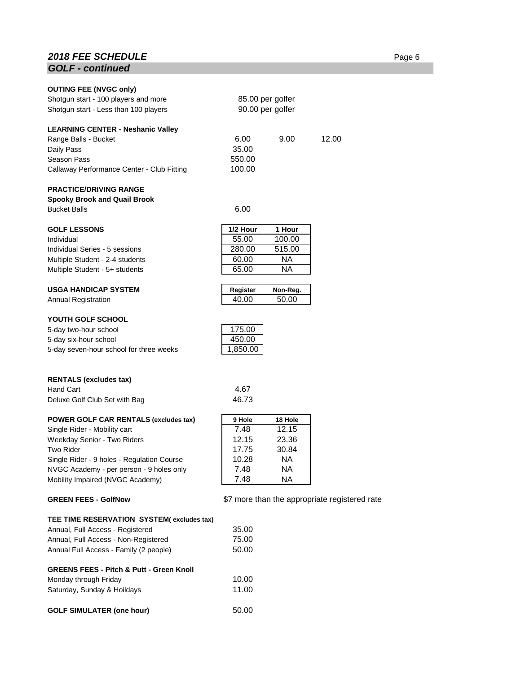# **2018 FEE SCHEDULE** Page 6 *GOLF - continued*

| <b>OUTING FEE (NVGC only)</b>              |          |                                      |                                               |  |
|--------------------------------------------|----------|--------------------------------------|-----------------------------------------------|--|
| Shotgun start - 100 players and more       |          |                                      |                                               |  |
| Shotgun start - Less than 100 players      |          | 85.00 per golfer<br>90.00 per golfer |                                               |  |
|                                            |          |                                      |                                               |  |
| <b>LEARNING CENTER - Neshanic Valley</b>   |          |                                      |                                               |  |
| Range Balls - Bucket                       | 6.00     | 9.00                                 | 12.00                                         |  |
| Daily Pass                                 | 35.00    |                                      |                                               |  |
| Season Pass                                | 550.00   |                                      |                                               |  |
| Callaway Performance Center - Club Fitting | 100.00   |                                      |                                               |  |
|                                            |          |                                      |                                               |  |
| <b>PRACTICE/DRIVING RANGE</b>              |          |                                      |                                               |  |
| <b>Spooky Brook and Quail Brook</b>        |          |                                      |                                               |  |
| <b>Bucket Balls</b>                        | 6.00     |                                      |                                               |  |
| <b>GOLF LESSONS</b>                        | 1/2 Hour | 1 Hour                               |                                               |  |
| Individual                                 | 55.00    | 100.00                               |                                               |  |
| Individual Series - 5 sessions             | 280.00   | 515.00                               |                                               |  |
| Multiple Student - 2-4 students            | 60.00    | NA                                   |                                               |  |
| Multiple Student - 5+ students             | 65.00    | ΝA                                   |                                               |  |
|                                            |          |                                      |                                               |  |
| <b>USGA HANDICAP SYSTEM</b>                | Register | Non-Reg.                             |                                               |  |
| <b>Annual Registration</b>                 | 40.00    | 50.00                                |                                               |  |
|                                            |          |                                      |                                               |  |
| YOUTH GOLF SCHOOL                          |          |                                      |                                               |  |
| 5-day two-hour school                      | 175.00   |                                      |                                               |  |
| 5-day six-hour school                      | 450.00   |                                      |                                               |  |
| 5-day seven-hour school for three weeks    | 1,850.00 |                                      |                                               |  |
|                                            |          |                                      |                                               |  |
| <b>RENTALS (excludes tax)</b>              |          |                                      |                                               |  |
| <b>Hand Cart</b>                           | 4.67     |                                      |                                               |  |
| Deluxe Golf Club Set with Bag              | 46.73    |                                      |                                               |  |
| POWER GOLF CAR RENTALS (excludes tax)      | 9 Hole   | 18 Hole                              |                                               |  |
| Single Rider - Mobility cart               | 7.48     | 12.15                                |                                               |  |
| Weekday Senior - Two Riders                | 12.15    | 23.36                                |                                               |  |
| <b>Two Rider</b>                           | 17.75    | 30.84                                |                                               |  |
| Single Rider - 9 holes - Regulation Course | 10.28    | NA.                                  |                                               |  |
| NVGC Academy - per person - 9 holes only   | 7.48     | NA.                                  |                                               |  |
| Mobility Impaired (NVGC Academy)           | 7.48     | NA.                                  |                                               |  |
|                                            |          |                                      |                                               |  |
| <b>GREEN FEES - GolfNow</b>                |          |                                      | \$7 more than the appropriate registered rate |  |

# **TEE TIME RESERVATION SYSTEM( excludes tax)** Annual, Full Access - Registered 35.00 Annual, Full Access - Non-Registered 75.00<br>Annual Full Access - Family (2 people) 50.00 Annual Full Access - Family (2 people) **GREENS FEES - Pitch & Putt - Green Knoll** Monday through Friday 10.00<br>Saturday, Sunday & Hoildays 11.00 Saturday, Sunday & Hoildays GOLF SIMULATER (one hour) 50.00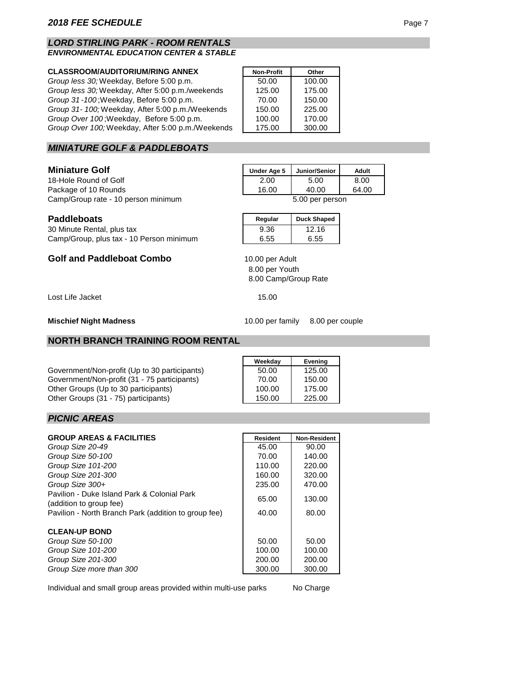#### *LORD STIRLING PARK - ROOM RENTALS ENVIRONMENTAL EDUCATION CENTER & STABLE*

## **CLASSROOM/AUDITORIUM/RING ANNEX Non-Profit Other**

| Group less 30; Weekday, Before 5:00 p.m.          | 50.00  | 100.00 |
|---------------------------------------------------|--------|--------|
| Group less 30; Weekday, After 5:00 p.m./weekends  | 125.00 | 175.00 |
| Group 31-100; Weekday, Before 5:00 p.m.           | 70.00  | 150.00 |
| Group 31-100; Weekday, After 5:00 p.m./Weekends   | 150.00 | 225.00 |
| Group Over 100; Weekday, Before 5:00 p.m.         | 100.00 | 170.00 |
| Group Over 100; Weekday, After 5:00 p.m./Weekends | 175.00 | 300.00 |

# *MINIATURE GOLF & PADDLEBOATS*

#### **Miniature Golf**

18-Hole Round of Golf Package of 10 Rounds 16.00 40.00 64.00 Camp/Group rate - 10 person minimum 5.00 per person

| Under Age 5 | Junior/Senior | Adult        |
|-------------|---------------|--------------|
| 2.00        | 5.00          | 8.00         |
| 10.00       | 10.00         | <b>CA 00</b> |

| <b>Paddleboats</b>         | Regular | <b>Duck Shaped</b> |
|----------------------------|---------|--------------------|
| 30 Minute Rental, plus tax | 9.36    | 12.16              |

Camp/Group, plus tax - 10 Person minimum | 6.55 6.55

# **Golf and Paddleboat Combo**

Lost Life Jacket 15.00

#### **Mischief Night Madness**

10.00 per family 8.00 per couple

#### **NORTH BRANCH TRAINING ROOM RENTAL**

Government/Non-profit (Up to 30 participants) Government/Non-profit (31 - 75 participants) Other Groups (Up to 30 participants) Other Groups (31 - 75) participants)

| <b>Evening</b> |
|----------------|
| 125.00         |
| 150.00         |
| 175.00         |
| 225.00         |
|                |

8.00 Camp/Group Rate

8.00 per Youth

10.00 per Adult

#### *PICNIC AREAS*

| <b>GROUP AREAS &amp; FACILITIES</b>                                    | <b>Resident</b> | <b>Non-Resident</b> |
|------------------------------------------------------------------------|-----------------|---------------------|
| Group Size 20-49                                                       | 45.00           | 90.00               |
| Group Size 50-100                                                      | 70.00           | 140.00              |
| Group Size 101-200                                                     | 110.00          | 220.00              |
| Group Size 201-300                                                     | 160.00          | 320.00              |
| Group Size 300+                                                        | 235.00          | 470.00              |
| Pavilion - Duke Island Park & Colonial Park<br>(addition to group fee) | 65.00           | 130.00              |
| Pavilion - North Branch Park (addition to group fee)                   | 40.00           | 80.00               |
| <b>CLEAN-UP BOND</b>                                                   |                 |                     |
| Group Size 50-100                                                      | 50.00           | 50.00               |
| Group Size 101-200                                                     | 100.00          | 100.00              |
| Group Size 201-300                                                     | 200.00          | 200.00              |
| Group Size more than 300                                               | 300.00          | 300.00              |

Individual and small group areas provided within multi-use parks

No Charge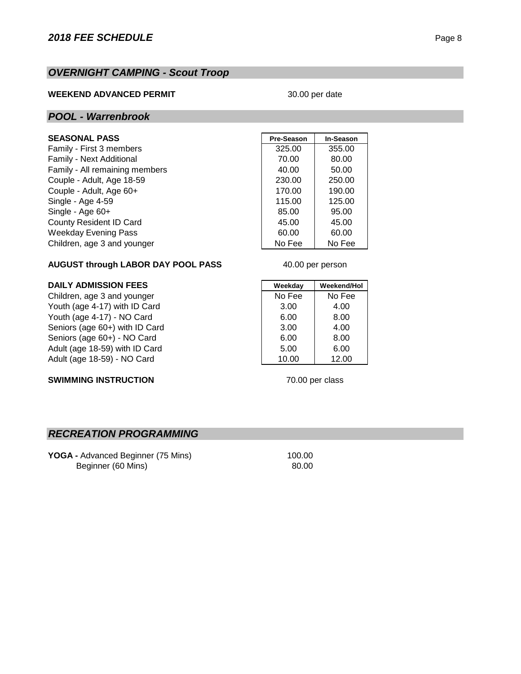# *OVERNIGHT CAMPING - Scout Troop*

#### **WEEKEND ADVANCED PERMIT**

#### 30.00 per date

#### *POOL - Warrenbrook*

#### $SEASONAL PASS$

Family - First 3 members Family - Next Additional Family - All remaining members Couple - Adult, Age 18-59. Couple - Adult, Age 60+ Single - Age 4-59 Single - Age 60+ County Resident ID Card Weekday Evening Pass Children, age 3 and younger

| Pre-Season | In-Season |
|------------|-----------|
| 325.00     | 355.00    |
| 70.00      | 80.00     |
| 40.00      | 50.00     |
| 230.00     | 250.00    |
| 170.00     | 190.00    |
| 115.00     | 125.00    |
| 85.00      | 95.00     |
| 45.00      | 45.00     |
| 60.00      | 60.00     |
| No Fee     | No Fee    |

40.00 per person

#### **AUGUST through LABOR DAY POOL PASS**

# **DAILY ADMISSION FEES**<br>
Children, age 3 and younger<br>
Weekday | Weekend/Hol

Children, age 3 and younger No Fee No Fee Youth (age 4-17) with ID Card 3.00 4.00 Youth (age 4-17) - NO Card  $\begin{array}{|c|c|c|c|c|c|c|c|c|} \hline \end{array}$  6.00 8.00 Seniors (age 60+) with ID Card 3.00 4.00 Seniors (age 60+) - NO Card 6.00 8.00 Adult (age 18-59) with ID Card 5.00 6.00 Adult (age 18-59) - NO Card 10.00 12.00

#### **SWIMMING INSTRUCTION**

70.00 per class

# *RECREATION PROGRAMMING*

**YOGA - Advanced Beginner (75 Mins) 100.00** Beginner (60 Mins) 80.00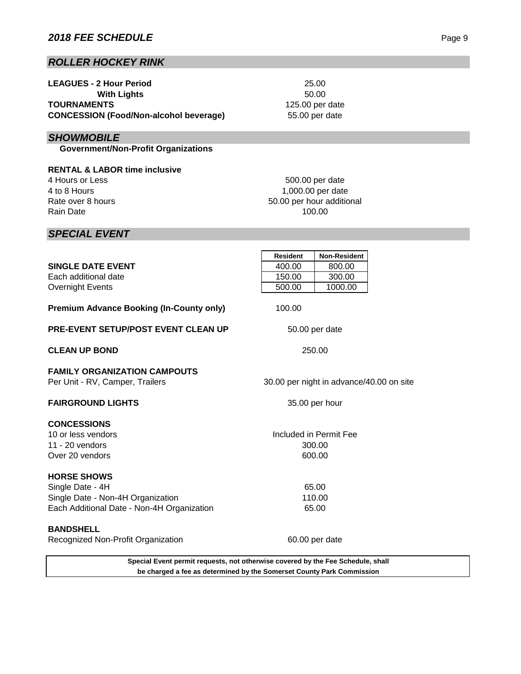# *ROLLER HOCKEY RINK*

| <b>LEAGUES - 2 Hour Period</b>                |
|-----------------------------------------------|
| <b>With Lights</b>                            |
| <b>TOURNAMENTS</b>                            |
| <b>CONCESSION (Food/Non-alcohol beverage)</b> |

# *SHOWMOBILE*

 **Government/Non-Profit Organizations**

**RENTAL & LABOR time inclusive** 4 Hours or Less 4 to 8 Hours Rate over 8 hours Rain Date

1,000.00 per date 500.00 per date 50.00 per hour additional 100.00

# *SPECIAL EVENT*

|                                                                                 | <b>Resident</b> | <b>Non-Resident</b>                      |  |
|---------------------------------------------------------------------------------|-----------------|------------------------------------------|--|
| <b>SINGLE DATE EVENT</b>                                                        | 400.00          | 800.00                                   |  |
| Each additional date                                                            | 150.00          | 300.00                                   |  |
| <b>Overnight Events</b>                                                         | 500.00          | 1000.00                                  |  |
| <b>Premium Advance Booking (In-County only)</b>                                 | 100.00          |                                          |  |
| <b>PRE-EVENT SETUP/POST EVENT CLEAN UP</b>                                      |                 | 50.00 per date                           |  |
| <b>CLEAN UP BOND</b>                                                            | 250.00          |                                          |  |
| <b>FAMILY ORGANIZATION CAMPOUTS</b><br>Per Unit - RV, Camper, Trailers          |                 | 30.00 per night in advance/40.00 on site |  |
| <b>FAIRGROUND LIGHTS</b>                                                        | 35.00 per hour  |                                          |  |
| <b>CONCESSIONS</b>                                                              |                 |                                          |  |
| 10 or less vendors                                                              |                 | Included in Permit Fee                   |  |
| $11 - 20$ vendors                                                               |                 | 300.00                                   |  |
| Over 20 vendors                                                                 |                 | 600.00                                   |  |
| <b>HORSE SHOWS</b>                                                              |                 |                                          |  |
| Single Date - 4H                                                                |                 | 65.00                                    |  |
| Single Date - Non-4H Organization                                               |                 | 110.00                                   |  |
| Each Additional Date - Non-4H Organization                                      |                 | 65.00                                    |  |
| <b>BANDSHELL</b>                                                                |                 |                                          |  |
| Recognized Non-Profit Organization                                              |                 | 60.00 per date                           |  |
| Special Event permit requests, not otherwise covered by the Fee Schedule, shall |                 |                                          |  |

**be charged a fee as determined by the Somerset County Park Commission**

50.00 125.00 per date 25.00 55.00 per date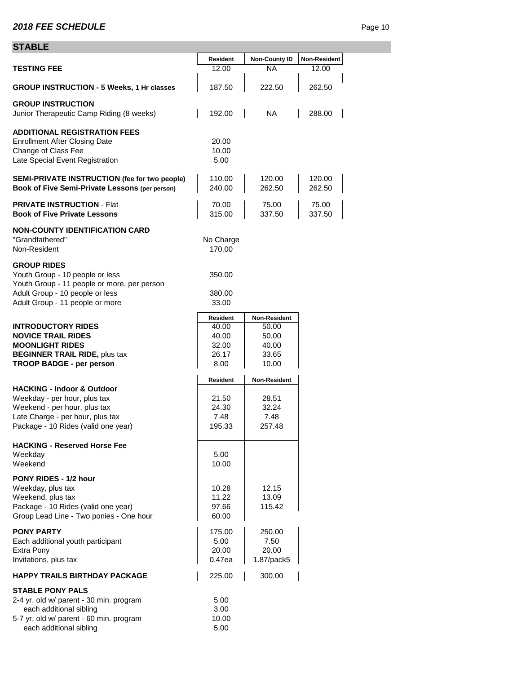# **STABLE**

| ᄓᆷᆔ                                                                                                                                                                              |                                                             |                                                           |                       |
|----------------------------------------------------------------------------------------------------------------------------------------------------------------------------------|-------------------------------------------------------------|-----------------------------------------------------------|-----------------------|
| <b>TESTING FEE</b>                                                                                                                                                               | <b>Resident</b><br>12.00                                    | <b>Non-County ID</b><br><b>NA</b>                         | Non-Resident<br>12.00 |
| <b>GROUP INSTRUCTION - 5 Weeks, 1 Hr classes</b>                                                                                                                                 | 187.50                                                      | 222.50                                                    | 262.50                |
| <b>GROUP INSTRUCTION</b><br>Junior Therapeutic Camp Riding (8 weeks)                                                                                                             | 192.00                                                      | NA                                                        | 288.00                |
| <b>ADDITIONAL REGISTRATION FEES</b><br><b>Enrollment After Closing Date</b><br>Change of Class Fee<br>Late Special Event Registration                                            | 20.00<br>10.00<br>5.00                                      |                                                           |                       |
| <b>SEMI-PRIVATE INSTRUCTION (fee for two people)</b><br>Book of Five Semi-Private Lessons (per person)                                                                           | 110.00<br>240.00                                            | 120.00<br>262.50                                          | 120.00<br>262.50      |
| <b>PRIVATE INSTRUCTION - Flat</b><br><b>Book of Five Private Lessons</b>                                                                                                         | 70.00<br>315.00                                             | 75.00<br>337.50                                           | 75.00<br>337.50       |
| <b>NON-COUNTY IDENTIFICATION CARD</b><br>"Grandfathered"<br>Non-Resident                                                                                                         | No Charge<br>170.00                                         |                                                           |                       |
| <b>GROUP RIDES</b><br>Youth Group - 10 people or less<br>Youth Group - 11 people or more, per person                                                                             | 350.00                                                      |                                                           |                       |
| Adult Group - 10 people or less<br>Adult Group - 11 people or more                                                                                                               | 380.00<br>33.00                                             |                                                           |                       |
| <b>INTRODUCTORY RIDES</b><br><b>NOVICE TRAIL RIDES</b><br><b>MOONLIGHT RIDES</b><br><b>BEGINNER TRAIL RIDE, plus tax</b><br><b>TROOP BADGE - per person</b>                      | <b>Resident</b><br>40.00<br>40.00<br>32.00<br>26.17<br>8.00 | Non-Resident<br>50.00<br>50.00<br>40.00<br>33.65<br>10.00 |                       |
|                                                                                                                                                                                  | <b>Resident</b>                                             | <b>Non-Resident</b>                                       |                       |
| <b>HACKING - Indoor &amp; Outdoor</b><br>Weekday - per hour, plus tax<br>Weekend - per hour, plus tax<br>Late Charge - per hour, plus tax<br>Package - 10 Rides (valid one year) | 21.50<br>24.30<br>7.48<br>195.33                            | 28.51<br>32.24<br>7.48<br>257.48                          |                       |
| <b>HACKING - Reserved Horse Fee</b><br>Weekday<br>Weekend                                                                                                                        | 5.00<br>10.00                                               |                                                           |                       |
| PONY RIDES - 1/2 hour<br>Weekday, plus tax<br>Weekend, plus tax<br>Package - 10 Rides (valid one year)<br>Group Lead Line - Two ponies - One hour                                | 10.28<br>11.22<br>97.66<br>60.00                            | 12.15<br>13.09<br>115.42                                  |                       |
| <b>PONY PARTY</b><br>Each additional youth participant<br>Extra Pony<br>Invitations, plus tax                                                                                    | 175.00<br>5.00<br>20.00<br>0.47ea                           | 250.00<br>7.50<br>20.00<br>1.87/pack5                     |                       |
| <b>HAPPY TRAILS BIRTHDAY PACKAGE</b>                                                                                                                                             | 225.00                                                      | 300.00                                                    |                       |
| <b>STABLE PONY PALS</b><br>2-4 yr. old w/ parent - 30 min. program<br>each additional sibling<br>5-7 yr. old w/ parent - 60 min. program<br>each additional sibling              | 5.00<br>3.00<br>10.00<br>5.00                               |                                                           |                       |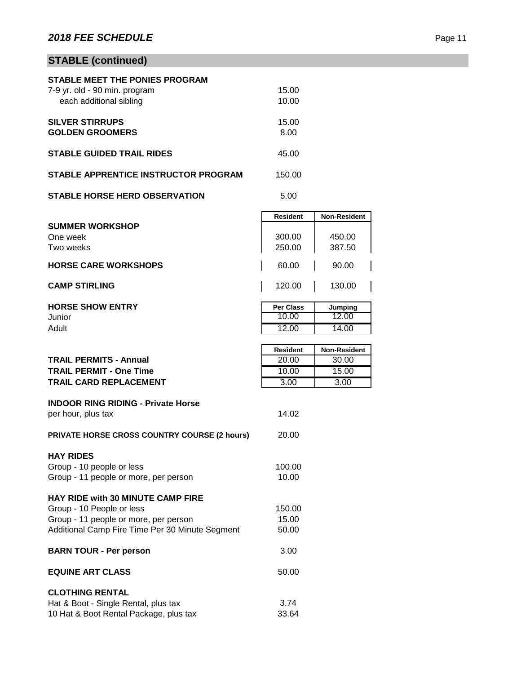# **STABLE (continued)**

| <b>STABLE MEET THE PONIES PROGRAM</b> |        |  |
|---------------------------------------|--------|--|
| 7-9 yr. old - 90 min. program         | 15.00  |  |
| each additional sibling               | 10.00  |  |
|                                       |        |  |
| <b>SILVER STIRRUPS</b>                | 15.00  |  |
| <b>GOLDEN GROOMERS</b>                | 8.00   |  |
|                                       |        |  |
| <b>STABLE GUIDED TRAIL RIDES</b>      | 45.00  |  |
| STABLE APPRENTICE INSTRUCTOR PROGRAM  | 150.00 |  |
|                                       |        |  |
| <b>STABLE HORSE HERD OBSERVATION</b>  | 5.00   |  |
|                                       |        |  |

|                             | <b>Resident</b> | <b>Non-Resident</b> |
|-----------------------------|-----------------|---------------------|
| <b>SUMMER WORKSHOP</b>      |                 |                     |
| One week                    | 300.00          | 450.00              |
| Two weeks                   | 250.00          | 387.50              |
| <b>HORSE CARE WORKSHOPS</b> | 60.00           | 90.00               |
| <b>CAMP STIRLING</b>        | 120.00          | 130.00              |

| <b>HORSE SHOW ENTRY</b> | <b>Per Class</b> | Jumping        |
|-------------------------|------------------|----------------|
| Junior                  | 10.00            | 12.00          |
| Adult                   | 12.00            | 14.00          |
|                         |                  |                |
|                         | <b>Dealders</b>  | Main Danisland |

|                                                     | Resident | <b>Non-Resident</b> |
|-----------------------------------------------------|----------|---------------------|
| <b>TRAIL PERMITS - Annual</b>                       | 20.00    | 30.00               |
| <b>TRAIL PERMIT - One Time</b>                      | 10.00    | 15.00               |
| <b>TRAIL CARD REPLACEMENT</b>                       | 3.00     | 3.00                |
|                                                     |          |                     |
| <b>INDOOR RING RIDING - Private Horse</b>           | 14.02    |                     |
| per hour, plus tax                                  |          |                     |
| <b>PRIVATE HORSE CROSS COUNTRY COURSE (2 hours)</b> | 20.00    |                     |
|                                                     |          |                     |
| <b>HAY RIDES</b>                                    |          |                     |
| Group - 10 people or less                           | 100.00   |                     |
| Group - 11 people or more, per person               | 10.00    |                     |
|                                                     |          |                     |
| <b>HAY RIDE with 30 MINUTE CAMP FIRE</b>            |          |                     |
| Group - 10 People or less                           | 150.00   |                     |
| Group - 11 people or more, per person               | 15.00    |                     |
| Additional Camp Fire Time Per 30 Minute Segment     | 50.00    |                     |
| <b>BARN TOUR - Per person</b>                       | 3.00     |                     |
|                                                     |          |                     |
| <b>EQUINE ART CLASS</b>                             | 50.00    |                     |
|                                                     |          |                     |
| <b>CLOTHING RENTAL</b>                              |          |                     |
| Hat & Boot - Single Rental, plus tax                | 3.74     |                     |
| 10 Hat & Boot Rental Package, plus tax              | 33.64    |                     |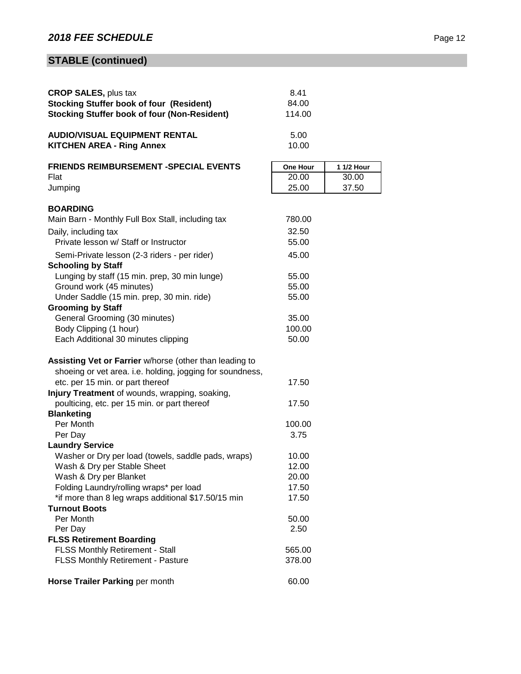# **STABLE (continued)**

| <b>CROP SALES, plus tax</b>                               | 8.41     |            |
|-----------------------------------------------------------|----------|------------|
| <b>Stocking Stuffer book of four (Resident)</b>           | 84.00    |            |
| <b>Stocking Stuffer book of four (Non-Resident)</b>       | 114.00   |            |
| <b>AUDIO/VISUAL EQUIPMENT RENTAL</b>                      | 5.00     |            |
| <b>KITCHEN AREA - Ring Annex</b>                          | 10.00    |            |
| <b>FRIENDS REIMBURSEMENT -SPECIAL EVENTS</b>              | One Hour | 1 1/2 Hour |
| Flat                                                      | 20.00    | 30.00      |
| Jumping                                                   | 25.00    | 37.50      |
| <b>BOARDING</b>                                           |          |            |
| Main Barn - Monthly Full Box Stall, including tax         | 780.00   |            |
| Daily, including tax                                      | 32.50    |            |
| Private lesson w/ Staff or Instructor                     | 55.00    |            |
| Semi-Private lesson (2-3 riders - per rider)              | 45.00    |            |
| <b>Schooling by Staff</b>                                 |          |            |
| Lunging by staff (15 min. prep, 30 min lunge)             | 55.00    |            |
| Ground work (45 minutes)                                  | 55.00    |            |
| Under Saddle (15 min. prep, 30 min. ride)                 | 55.00    |            |
| <b>Grooming by Staff</b>                                  |          |            |
| General Grooming (30 minutes)                             | 35.00    |            |
| Body Clipping (1 hour)                                    | 100.00   |            |
| Each Additional 30 minutes clipping                       | 50.00    |            |
| Assisting Vet or Farrier w/horse (other than leading to   |          |            |
| shoeing or vet area. i.e. holding, jogging for soundness, |          |            |
| etc. per 15 min. or part thereof                          | 17.50    |            |
| Injury Treatment of wounds, wrapping, soaking,            |          |            |
| poulticing, etc. per 15 min. or part thereof              | 17.50    |            |
| <b>Blanketing</b>                                         |          |            |
| Per Month                                                 | 100.00   |            |
| Per Day                                                   | 3.75     |            |
| <b>Laundry Service</b>                                    |          |            |
| Washer or Dry per load (towels, saddle pads, wraps)       | 10.00    |            |
| Wash & Dry per Stable Sheet                               | 12.00    |            |
| Wash & Dry per Blanket                                    | 20.00    |            |
| Folding Laundry/rolling wraps* per load                   | 17.50    |            |
| *if more than 8 leg wraps additional \$17.50/15 min       | 17.50    |            |
| <b>Turnout Boots</b>                                      |          |            |
| Per Month                                                 | 50.00    |            |
| Per Day                                                   | 2.50     |            |
| <b>FLSS Retirement Boarding</b>                           |          |            |
| FLSS Monthly Retirement - Stall                           | 565.00   |            |
| <b>FLSS Monthly Retirement - Pasture</b>                  | 378.00   |            |
| Horse Trailer Parking per month                           | 60.00    |            |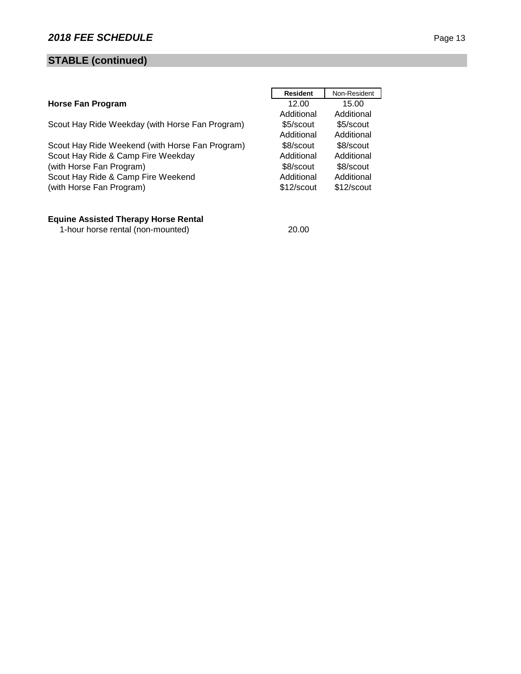# **STABLE (continued)**

|                                                 | <b>Resident</b> | Non-Resident |
|-------------------------------------------------|-----------------|--------------|
| <b>Horse Fan Program</b>                        | 12.00           | 15.00        |
|                                                 | Additional      | Additional   |
| Scout Hay Ride Weekday (with Horse Fan Program) | \$5/scout       | \$5/scout    |
|                                                 | Additional      | Additional   |
| Scout Hay Ride Weekend (with Horse Fan Program) | \$8/scout       | \$8/scout    |
| Scout Hay Ride & Camp Fire Weekday              | Additional      | Additional   |
| (with Horse Fan Program)                        | \$8/scout       | \$8/scout    |
| Scout Hay Ride & Camp Fire Weekend              | Additional      | Additional   |
| (with Horse Fan Program)                        | \$12/scout      | \$12/scout   |
|                                                 |                 |              |

#### **Equine Assisted Therapy Horse Rental**

1-hour horse rental (non-mounted) 20.00